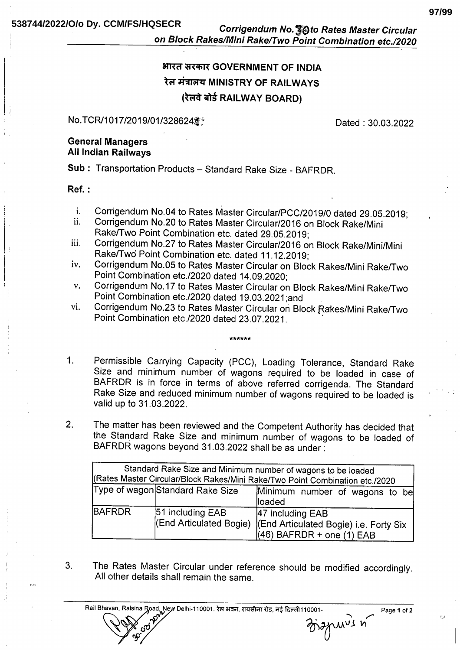Corrigendum No. 30 to Rates Master Circular on Block Rakes/Mini Rake/Two Point Combination etc./2020

# भारत सरकार GOVERNMENT OF INDIA रेल मंत्रालय MINISTRY OF RAILWAYS (रेलवे बोर्ड RAILWAY BOARD)

#### No.TCR/1017/2019/01/328624簿

Dated: 30.03.2022

#### **General Managers All Indian Railways**

Sub: Transportation Products - Standard Rake Size - BAFRDR.

#### $Ref. :$

- Corrigendum No.04 to Rates Master Circular/PCC/2019/0 dated 29.05.2019;  $\mathbf{i}$ .
- Corrigendum No.20 to Rates Master Circular/2016 on Block Rake/Mini  $ii.$ Rake/Two Point Combination etc. dated 29.05.2019;
- Corrigendum No.27 to Rates Master Circular/2016 on Block Rake/Mini/Mini iii. Rake/Two' Point Combination etc. dated 11.12.2019;
- Corrigendum No.05 to Rates Master Circular on Block Rakes/Mini Rake/Two iv. Point Combination etc./2020 dated 14.09.2020;
- Corrigendum No.17 to Rates Master Circular on Block Rakes/Mini Rake/Two  $V_{\bullet}$ Point Combination etc./2020 dated 19.03.2021;and
- Corrigendum No.23 to Rates Master Circular on Block Rakes/Mini Rake/Two vi. Point Combination etc./2020 dated 23.07.2021.

 $1<sup>1</sup>$ Permissible Carrying Capacity (PCC), Loading Tolerance, Standard Rake Size and minimum number of wagons required to be loaded in case of BAFRDR is in force in terms of above referred corrigenda. The Standard Rake Size and reduced minimum number of wagons required to be loaded is valid up to 31.03.2022.

 $2.$ The matter has been reviewed and the Competent Authority has decided that the Standard Rake Size and minimum number of wagons to be loaded of BAFRDR wagons beyond 31.03.2022 shall be as under :

| Standard Rake Size and Minimum number of wagons to be loaded<br>(Rates Master Circular/Block Rakes/Mini Rake/Two Point Combination etc./2020 |                                             |                                                                                                    |
|----------------------------------------------------------------------------------------------------------------------------------------------|---------------------------------------------|----------------------------------------------------------------------------------------------------|
|                                                                                                                                              | Type of wagon Standard Rake Size            | Minimum number of wagons to be<br>lloaded                                                          |
| <b>BAFRDR</b>                                                                                                                                | 51 including EAB<br>(End Articulated Bogie) | 47 including EAB<br><b>(End Articulated Bogie) i.e. Forty Six</b><br>$(46)$ BAFRDR + one $(1)$ EAB |

The Rates Master Circular under reference should be modified accordingly.  $3<sub>1</sub>$ All other details shall remain the same.

Rail Bhavan, Raisina Road, New Delhi-110001. रेल भवन, रायसीना रोड, नई दिल्ली110001-



manuvis n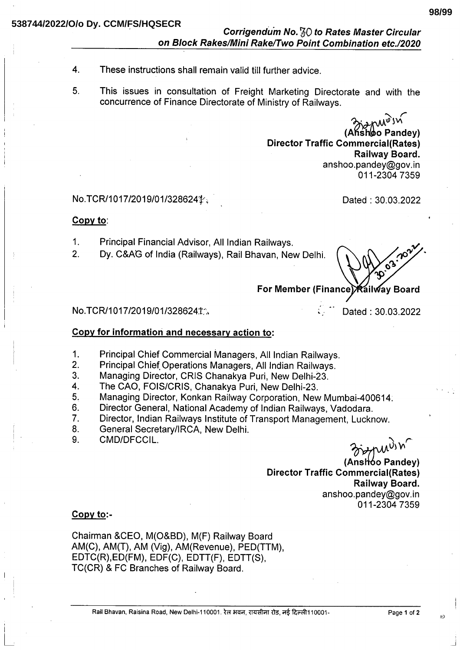## Corrigendum No. 50 to Rates Master Circular on Block Rakes/Mini Rake/Two Point Combination etc./2020

- These instructions shall remain valid till further advice.  $\overline{\mathbf{4}}$ .
- 5. This issues in consultation of Freight Marketing Directorate and with the concurrence of Finance Directorate of Ministry of Railways.

(Ans์hoo Pandev) **Director Traffic Commercial(Rates)** Railway Board. anshoo.pandey@gov.in 011-2304 7359

### No.TCR/1017/2019/01/3286241.

Dated: 30.03.2022

#### Copy to:

- Principal Financial Advisor, All Indian Railways.  $1<sub>1</sub>$
- Dv. C&AG of India (Railways), Rail Bhavan, New Delhi.  $2<sup>1</sup>$

For Member (Finance) Railway Board

#### No.TCR/1017/2019/01/3286241%

Dated: 30.03.2022

#### Copy for information and necessary action to:

- $1.$ Principal Chief Commercial Managers, All Indian Railways.
- 2. Principal Chief Operations Managers, All Indian Railways.
- $3.$ Managing Director, CRIS Chanakya Puri, New Delhi-23.
- The CAO, FOIS/CRIS, Chanakya Puri, New Delhi-23.  $\overline{\mathbf{A}}$
- 5. Managing Director, Konkan Railway Corporation, New Mumbai-400614;
- Director General, National Academy of Indian Railways, Vadodara. 6.
- Director, Indian Railways Institute of Transport Management, Lucknow.  $7<sub>1</sub>$
- 8. General Secretary/IRCA, New Delhi.
- CMD/DFCCIL.  $9<sub>1</sub>$

*<i>Andr* 

(Anshoo Pandev) **Director Traffic Commercial(Rates)** Railway Board. anshoo.pandey@gov.in 011-2304 7359

#### $Copy to:$

Chairman &CEO, M(O&BD), M(F) Railway Board AM(C), AM(T), AM (Vig), AM(Revenue), PED(TTM), EDTC(R), ED(FM), EDF(C), EDTT(F), EDTT(S), TC(CR) & FC Branches of Railway Board.